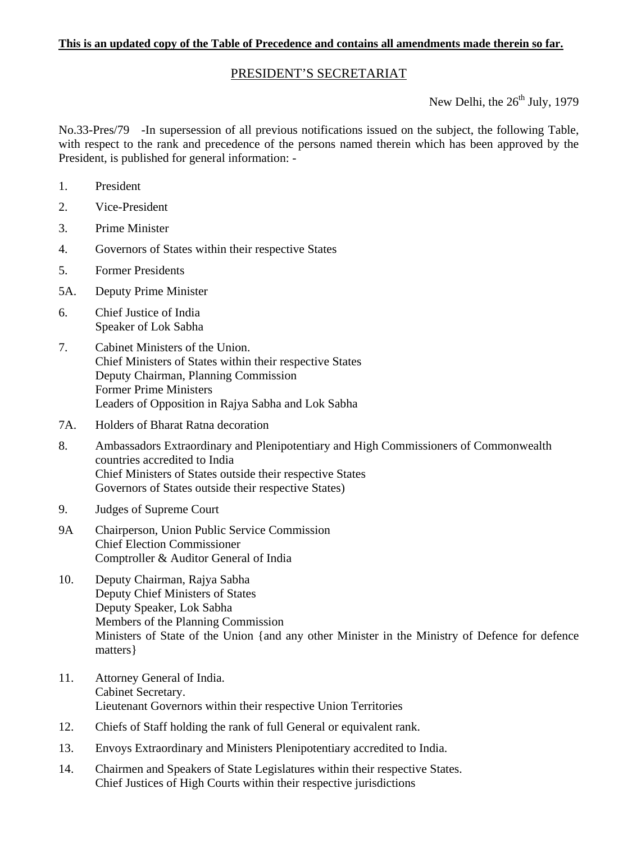## PRESIDENT'S SECRETARIAT

New Delhi, the  $26<sup>th</sup>$  July, 1979

No.33-Pres/79 -In supersession of all previous notifications issued on the subject, the following Table, with respect to the rank and precedence of the persons named therein which has been approved by the President, is published for general information: -

- 1. President
- 2. Vice-President
- 3. Prime Minister
- 4. Governors of States within their respective States
- 5. Former Presidents
- 5A. Deputy Prime Minister
- 6. Chief Justice of India Speaker of Lok Sabha
- 7. Cabinet Ministers of the Union. Chief Ministers of States within their respective States Deputy Chairman, Planning Commission Former Prime Ministers Leaders of Opposition in Rajya Sabha and Lok Sabha
- 7A. Holders of Bharat Ratna decoration
- 8. Ambassadors Extraordinary and Plenipotentiary and High Commissioners of Commonwealth countries accredited to India Chief Ministers of States outside their respective States Governors of States outside their respective States)
- 9. Judges of Supreme Court
- 9A Chairperson, Union Public Service Commission Chief Election Commissioner Comptroller & Auditor General of India
- 10. Deputy Chairman, Rajya Sabha Deputy Chief Ministers of States Deputy Speaker, Lok Sabha Members of the Planning Commission Ministers of State of the Union {and any other Minister in the Ministry of Defence for defence matters}
- 11. Attorney General of India. Cabinet Secretary. Lieutenant Governors within their respective Union Territories
- 12. Chiefs of Staff holding the rank of full General or equivalent rank.
- 13. Envoys Extraordinary and Ministers Plenipotentiary accredited to India.
- 14. Chairmen and Speakers of State Legislatures within their respective States. Chief Justices of High Courts within their respective jurisdictions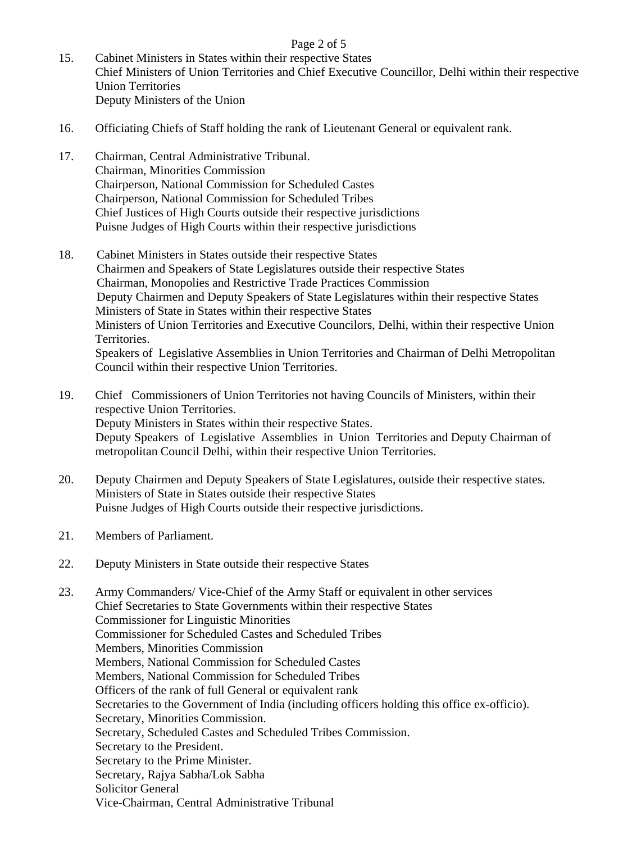### Page 2 of 5

- 15. Cabinet Ministers in States within their respective States Chief Ministers of Union Territories and Chief Executive Councillor, Delhi within their respective Union Territories Deputy Ministers of the Union
- 16. Officiating Chiefs of Staff holding the rank of Lieutenant General or equivalent rank.
- 17. Chairman, Central Administrative Tribunal. Chairman, Minorities Commission Chairperson, National Commission for Scheduled Castes Chairperson, National Commission for Scheduled Tribes Chief Justices of High Courts outside their respective jurisdictions Puisne Judges of High Courts within their respective jurisdictions
- 18. Cabinet Ministers in States outside their respective States Chairmen and Speakers of State Legislatures outside their respective States Chairman, Monopolies and Restrictive Trade Practices Commission Deputy Chairmen and Deputy Speakers of State Legislatures within their respective States Ministers of State in States within their respective States Ministers of Union Territories and Executive Councilors, Delhi, within their respective Union Territories. Speakers of Legislative Assemblies in Union Territories and Chairman of Delhi Metropolitan Council within their respective Union Territories.
- 19. Chief Commissioners of Union Territories not having Councils of Ministers, within their respective Union Territories. Deputy Ministers in States within their respective States. Deputy Speakers of Legislative Assemblies in Union Territories and Deputy Chairman of metropolitan Council Delhi, within their respective Union Territories.
- 20. Deputy Chairmen and Deputy Speakers of State Legislatures, outside their respective states. Ministers of State in States outside their respective States Puisne Judges of High Courts outside their respective jurisdictions.
- 21. Members of Parliament.
- 22. Deputy Ministers in State outside their respective States
- 23. Army Commanders/ Vice-Chief of the Army Staff or equivalent in other services Chief Secretaries to State Governments within their respective States Commissioner for Linguistic Minorities Commissioner for Scheduled Castes and Scheduled Tribes Members, Minorities Commission Members, National Commission for Scheduled Castes Members, National Commission for Scheduled Tribes Officers of the rank of full General or equivalent rank Secretaries to the Government of India (including officers holding this office ex-officio). Secretary, Minorities Commission. Secretary, Scheduled Castes and Scheduled Tribes Commission. Secretary to the President. Secretary to the Prime Minister. Secretary, Rajya Sabha/Lok Sabha Solicitor General Vice-Chairman, Central Administrative Tribunal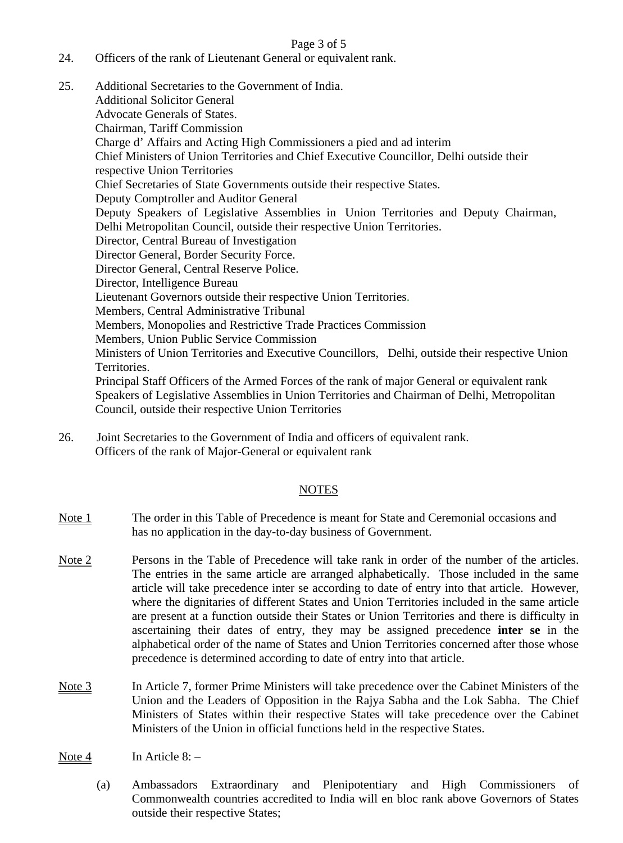### Page 3 of 5

- 24. Officers of the rank of Lieutenant General or equivalent rank.
- 25. Additional Secretaries to the Government of India. Additional Solicitor General Advocate Generals of States. Chairman, Tariff Commission Charge d' Affairs and Acting High Commissioners a pied and ad interim Chief Ministers of Union Territories and Chief Executive Councillor, Delhi outside their respective Union Territories Chief Secretaries of State Governments outside their respective States. Deputy Comptroller and Auditor General Deputy Speakers of Legislative Assemblies in Union Territories and Deputy Chairman, Delhi Metropolitan Council, outside their respective Union Territories. Director, Central Bureau of Investigation Director General, Border Security Force. Director General, Central Reserve Police. Director, Intelligence Bureau Lieutenant Governors outside their respective Union Territories. Members, Central Administrative Tribunal Members, Monopolies and Restrictive Trade Practices Commission Members, Union Public Service Commission Ministers of Union Territories and Executive Councillors, Delhi, outside their respective Union Territories. Principal Staff Officers of the Armed Forces of the rank of major General or equivalent rank Speakers of Legislative Assemblies in Union Territories and Chairman of Delhi, Metropolitan Council, outside their respective Union Territories
- 26. Joint Secretaries to the Government of India and officers of equivalent rank. Officers of the rank of Major-General or equivalent rank

#### **NOTES**

- Note 1 The order in this Table of Precedence is meant for State and Ceremonial occasions and has no application in the day-to-day business of Government.
- Note 2 Persons in the Table of Precedence will take rank in order of the number of the articles. The entries in the same article are arranged alphabetically. Those included in the same article will take precedence inter se according to date of entry into that article. However, where the dignitaries of different States and Union Territories included in the same article are present at a function outside their States or Union Territories and there is difficulty in ascertaining their dates of entry, they may be assigned precedence **inter se** in the alphabetical order of the name of States and Union Territories concerned after those whose precedence is determined according to date of entry into that article.
- Note 3 In Article 7, former Prime Ministers will take precedence over the Cabinet Ministers of the Union and the Leaders of Opposition in the Rajya Sabha and the Lok Sabha. The Chief Ministers of States within their respective States will take precedence over the Cabinet Ministers of the Union in official functions held in the respective States.
- Note 4 In Article 8: -
	- (a) Ambassadors Extraordinary and Plenipotentiary and High Commissioners of Commonwealth countries accredited to India will en bloc rank above Governors of States outside their respective States;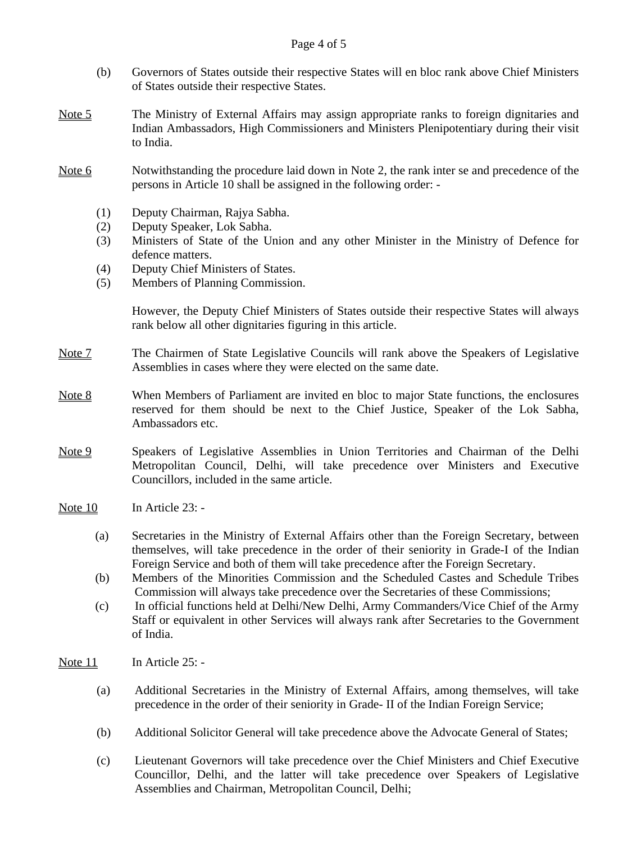- (b) Governors of States outside their respective States will en bloc rank above Chief Ministers of States outside their respective States.
- Note 5 The Ministry of External Affairs may assign appropriate ranks to foreign dignitaries and Indian Ambassadors, High Commissioners and Ministers Plenipotentiary during their visit to India.
- Note 6 Notwithstanding the procedure laid down in Note 2, the rank inter se and precedence of the persons in Article 10 shall be assigned in the following order: -
	- (1) Deputy Chairman, Rajya Sabha.
	- (2) Deputy Speaker, Lok Sabha.
	- (3) Ministers of State of the Union and any other Minister in the Ministry of Defence for defence matters.
	- (4) Deputy Chief Ministers of States.
	- (5) Members of Planning Commission.

However, the Deputy Chief Ministers of States outside their respective States will always rank below all other dignitaries figuring in this article.

- Note 7 The Chairmen of State Legislative Councils will rank above the Speakers of Legislative Assemblies in cases where they were elected on the same date.
- Note 8 When Members of Parliament are invited en bloc to major State functions, the enclosures reserved for them should be next to the Chief Justice, Speaker of the Lok Sabha, Ambassadors etc.
- Note 9 Speakers of Legislative Assemblies in Union Territories and Chairman of the Delhi Metropolitan Council, Delhi, will take precedence over Ministers and Executive Councillors, included in the same article.
- Note 10 In Article 23: -
	- (a) Secretaries in the Ministry of External Affairs other than the Foreign Secretary, between themselves, will take precedence in the order of their seniority in Grade-I of the Indian Foreign Service and both of them will take precedence after the Foreign Secretary.
	- (b) Members of the Minorities Commission and the Scheduled Castes and Schedule Tribes Commission will always take precedence over the Secretaries of these Commissions;
	- (c) In official functions held at Delhi/New Delhi, Army Commanders/Vice Chief of the Army Staff or equivalent in other Services will always rank after Secretaries to the Government of India.
- Note  $11$  In Article  $25$ : -
	- (a) Additional Secretaries in the Ministry of External Affairs, among themselves, will take precedence in the order of their seniority in Grade- II of the Indian Foreign Service;
	- (b) Additional Solicitor General will take precedence above the Advocate General of States;
	- (c) Lieutenant Governors will take precedence over the Chief Ministers and Chief Executive Councillor, Delhi, and the latter will take precedence over Speakers of Legislative Assemblies and Chairman, Metropolitan Council, Delhi;